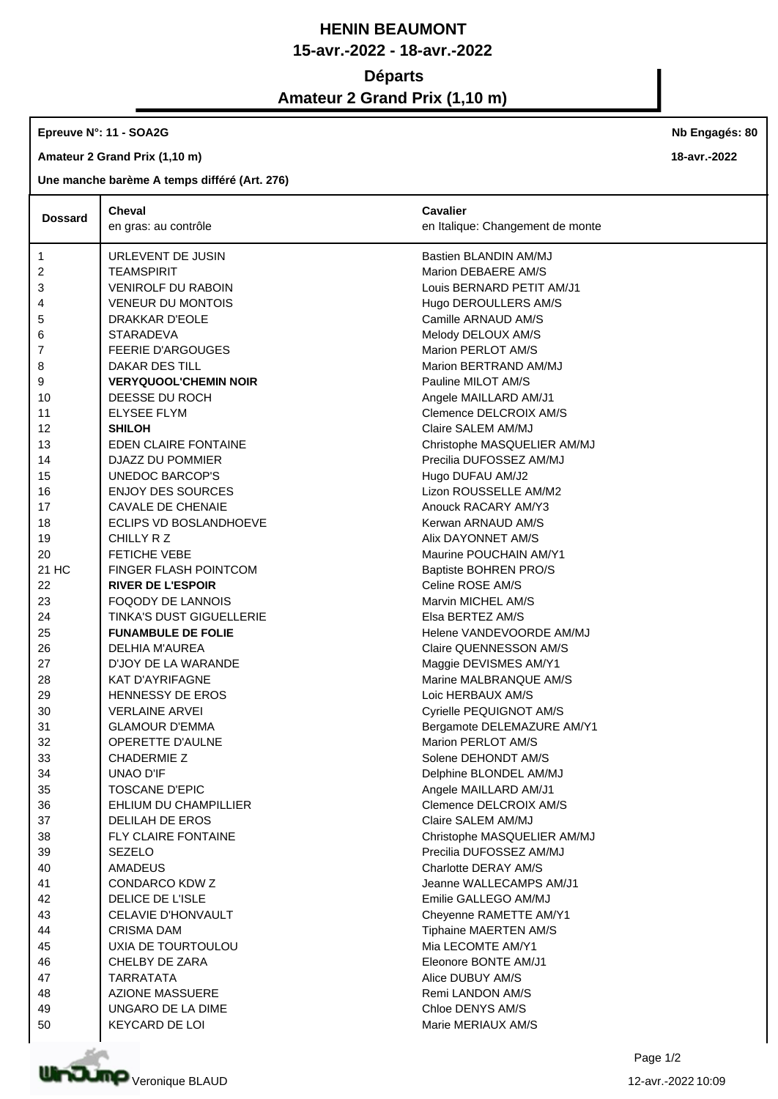## **HENIN BEAUMONT 15-avr.-2022 - 18-avr.-2022**

## **Départs**

# **Amateur 2 Grand Prix (1,10 m)**

#### **Epreuve N°: 11 - SOA2G**

**Amateur 2 Grand Prix (1,10 m)**

### **Une manche barème A temps différé (Art. 276)**

| <b>Dossard</b> | Cheval                          | <b>Cavalier</b>                  |
|----------------|---------------------------------|----------------------------------|
|                | en gras: au contrôle            | en Italique: Changement de monte |
| 1              | URLEVENT DE JUSIN               | Bastien BLANDIN AM/MJ            |
| 2              | <b>TEAMSPIRIT</b>               | Marion DEBAERE AM/S              |
| 3              | <b>VENIROLF DU RABOIN</b>       | Louis BERNARD PETIT AM/J1        |
| 4              | <b>VENEUR DU MONTOIS</b>        | Hugo DEROULLERS AM/S             |
| 5              | DRAKKAR D'EOLE                  | Camille ARNAUD AM/S              |
| 6              | <b>STARADEVA</b>                | Melody DELOUX AM/S               |
| 7              | <b>FEERIE D'ARGOUGES</b>        | Marion PERLOT AM/S               |
| 8              | DAKAR DES TILL                  | Marion BERTRAND AM/MJ            |
| 9              | <b>VERYQUOOL'CHEMIN NOIR</b>    | Pauline MILOT AM/S               |
| 10             | DEESSE DU ROCH                  | Angele MAILLARD AM/J1            |
| 11             | <b>ELYSEE FLYM</b>              | Clemence DELCROIX AM/S           |
| 12             | <b>SHILOH</b>                   | Claire SALEM AM/MJ               |
| 13             | EDEN CLAIRE FONTAINE            | Christophe MASQUELIER AM/MJ      |
| 14             | DJAZZ DU POMMIER                | Precilia DUFOSSEZ AM/MJ          |
| 15             | UNEDOC BARCOP'S                 | Hugo DUFAU AM/J2                 |
| 16             | <b>ENJOY DES SOURCES</b>        | Lizon ROUSSELLE AM/M2            |
| 17             | <b>CAVALE DE CHENAIE</b>        | Anouck RACARY AM/Y3              |
| 18             | <b>ECLIPS VD BOSLANDHOEVE</b>   | Kerwan ARNAUD AM/S               |
| 19             | CHILLY R Z                      | Alix DAYONNET AM/S               |
| 20             | <b>FETICHE VEBE</b>             | Maurine POUCHAIN AM/Y1           |
| 21 HC          | <b>FINGER FLASH POINTCOM</b>    | Baptiste BOHREN PRO/S            |
| 22             | <b>RIVER DE L'ESPOIR</b>        | Celine ROSE AM/S                 |
| 23             | <b>FOQODY DE LANNOIS</b>        | Marvin MICHEL AM/S               |
| 24             | <b>TINKA'S DUST GIGUELLERIE</b> | Elsa BERTEZ AM/S                 |
| 25             | <b>FUNAMBULE DE FOLIE</b>       | Helene VANDEVOORDE AM/MJ         |
| 26             | <b>DELHIA M'AUREA</b>           | Claire QUENNESSON AM/S           |
| 27             | D'JOY DE LA WARANDE             | Maggie DEVISMES AM/Y1            |
| 28             | <b>KAT D'AYRIFAGNE</b>          | Marine MALBRANQUE AM/S           |
| 29             | <b>HENNESSY DE EROS</b>         | Loic HERBAUX AM/S                |
| 30             | <b>VERLAINE ARVEI</b>           | Cyrielle PEQUIGNOT AM/S          |
| 31             | <b>GLAMOUR D'EMMA</b>           | Bergamote DELEMAZURE AM/Y1       |
| 32             | <b>OPERETTE D'AULNE</b>         | Marion PERLOT AM/S               |
| 33             | <b>CHADERMIE Z</b>              | Solene DEHONDT AM/S              |
| 34             | UNAO D'IF                       | Delphine BLONDEL AM/MJ           |
| 35             | TOSCANE D'EPIC                  | Angele MAILLARD AM/J1            |
| 36             | EHLIUM DU CHAMPILLIER           | Clemence DELCROIX AM/S           |
| 37             | <b>DELILAH DE EROS</b>          | Claire SALEM AM/MJ               |
| 38             | <b>FLY CLAIRE FONTAINE</b>      | Christophe MASQUELIER AM/MJ      |
| 39             | <b>SEZELO</b>                   | Precilia DUFOSSEZ AM/MJ          |
| 40             | AMADEUS                         | Charlotte DERAY AM/S             |
| 41             | CONDARCO KDW Z                  | Jeanne WALLECAMPS AM/J1          |
| 42             | DELICE DE L'ISLE                | Emilie GALLEGO AM/MJ             |
| 43             | CELAVIE D'HONVAULT              | Cheyenne RAMETTE AM/Y1           |
| 44             | <b>CRISMA DAM</b>               | Tiphaine MAERTEN AM/S            |
| 45             | UXIA DE TOURTOULOU              | Mia LECOMTE AM/Y1                |
| 46             | CHELBY DE ZARA                  | Eleonore BONTE AM/J1             |
| 47             | <b>TARRATATA</b>                | Alice DUBUY AM/S                 |
| 48             | <b>AZIONE MASSUERE</b>          | Remi LANDON AM/S                 |
| 49             | UNGARO DE LA DIME               | Chloe DENYS AM/S                 |
| 50             | KEYCARD DE LOI                  | Marie MERIAUX AM/S               |



**Nb Engagés: 80**

**18-avr.-2022**